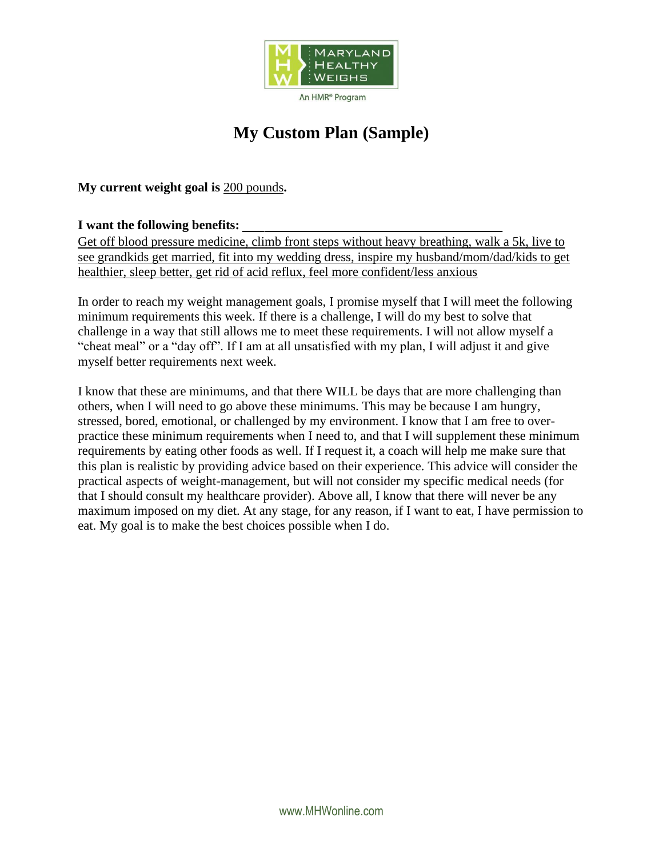

# **My Custom Plan (Sample)**

**My current weight goal is** 200 pounds**.**

#### **I want the following benefits:** \_\_\_\_\_\_\_\_\_\_\_\_\_\_\_\_\_\_\_\_\_\_\_\_

Get off blood pressure medicine, climb front steps without heavy breathing, walk a 5k, live to see grandkids get married, fit into my wedding dress, inspire my husband/mom/dad/kids to get healthier, sleep better, get rid of acid reflux, feel more confident/less anxious

In order to reach my weight management goals, I promise myself that I will meet the following minimum requirements this week. If there is a challenge, I will do my best to solve that challenge in a way that still allows me to meet these requirements. I will not allow myself a "cheat meal" or a "day off". If I am at all unsatisfied with my plan, I will adjust it and give myself better requirements next week.

I know that these are minimums, and that there WILL be days that are more challenging than others, when I will need to go above these minimums. This may be because I am hungry, stressed, bored, emotional, or challenged by my environment. I know that I am free to overpractice these minimum requirements when I need to, and that I will supplement these minimum requirements by eating other foods as well. If I request it, a coach will help me make sure that this plan is realistic by providing advice based on their experience. This advice will consider the practical aspects of weight-management, but will not consider my specific medical needs (for that I should consult my healthcare provider). Above all, I know that there will never be any maximum imposed on my diet. At any stage, for any reason, if I want to eat, I have permission to eat. My goal is to make the best choices possible when I do.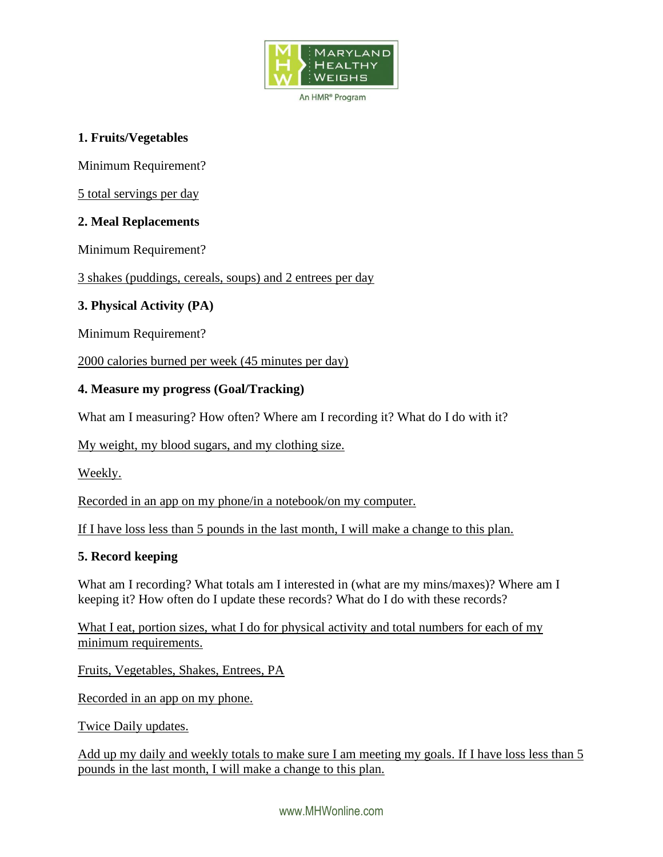

An HMR<sup>®</sup> Program

## **1. Fruits/Vegetables**

Minimum Requirement?

5 total servings per day

## **2. Meal Replacements**

Minimum Requirement?

3 shakes (puddings, cereals, soups) and 2 entrees per day

## **3. Physical Activity (PA)**

Minimum Requirement?

2000 calories burned per week (45 minutes per day)

## **4. Measure my progress (Goal/Tracking)**

What am I measuring? How often? Where am I recording it? What do I do with it?

My weight, my blood sugars, and my clothing size.

Weekly.

Recorded in an app on my phone/in a notebook/on my computer.

If I have loss less than 5 pounds in the last month, I will make a change to this plan.

## **5. Record keeping**

What am I recording? What totals am I interested in (what are my mins/maxes)? Where am I keeping it? How often do I update these records? What do I do with these records?

What I eat, portion sizes, what I do for physical activity and total numbers for each of my minimum requirements.

Fruits, Vegetables, Shakes, Entrees, PA

Recorded in an app on my phone.

Twice Daily updates.

Add up my daily and weekly totals to make sure I am meeting my goals. If I have loss less than 5 pounds in the last month, I will make a change to this plan.

www.MHWonline.com